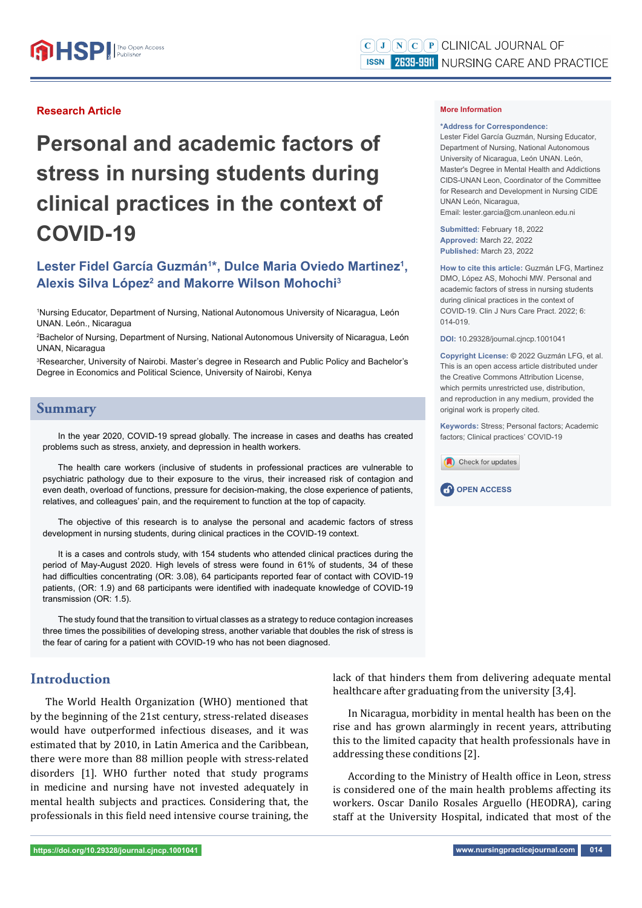#### **Research Article**

# **Personal and academic factors of stress in nursing students during clinical practices in the context of COVID-19**

# Lester Fidel García Guzmán<sup>1\*</sup>, Dulce Maria Oviedo Martinez<sup>1</sup>, **Alexis Silva López<sup>2</sup> and Makorre Wilson Mohochi<sup>3</sup>**

1 Nursing Educator, Department of Nursing, National Autonomous University of Nicaragua, León UNAN. León., Nicaragua

2 Bachelor of Nursing, Department of Nursing, National Autonomous University of Nicaragua, León UNAN, Nicaragua

3 Researcher, University of Nairobi. Master's degree in Research and Public Policy and Bachelor's Degree in Economics and Political Science, University of Nairobi, Kenya

#### **Summary**

In the year 2020, COVID-19 spread globally. The increase in cases and deaths has created problems such as stress, anxiety, and depression in health workers.

The health care workers (inclusive of students in professional practices are vulnerable to psychiatric pathology due to their exposure to the virus, their increased risk of contagion and even death, overload of functions, pressure for decision-making, the close experience of patients, relatives, and colleagues' pain, and the requirement to function at the top of capacity.

The objective of this research is to analyse the personal and academic factors of stress development in nursing students, during clinical practices in the COVID-19 context.

It is a cases and controls study, with 154 students who attended clinical practices during the period of May-August 2020. High levels of stress were found in 61% of students, 34 of these had difficulties concentrating (OR: 3.08), 64 participants reported fear of contact with COVID-19 patients, (OR: 1.9) and 68 participants were identified with inadequate knowledge of COVID-19 transmission (OR: 1.5).

The study found that the transition to virtual classes as a strategy to reduce contagion increases three times the possibilities of developing stress, another variable that doubles the risk of stress is the fear of caring for a patient with COVID-19 who has not been diagnosed.

## **Introduction**

The World Health Organization (WHO) mentioned that by the beginning of the 21st century, stress-related diseases would have outperformed infectious diseases, and it was estimated that by 2010, in Latin America and the Caribbean, there were more than 88 million people with stress-related disorders [1]. WHO further noted that study programs in medicine and nursing have not invested adequately in mental health subjects and practices. Considering that, the professionals in this field need intensive course training, the

#### **More Information**

#### **\*Address for Correspondence:**

Lester Fidel García Guzmán, Nursing Educator, Department of Nursing, National Autonomous University of Nicaragua, León UNAN. León, Master's Degree in Mental Health and Addictions CIDS-UNAN Leon, Coordinator of the Committee for Research and Development in Nursing CIDE UNAN León, Nicaragua, Email: lester.garcia@cm.unanleon.edu.ni

**Submitted:** February 18, 2022 **Approved:** March 22, 2022 **Published:** March 23, 2022

**How to cite this article:** Guzmán LFG, Martinez DMO, López AS, Mohochi MW. Personal and academic factors of stress in nursing students during clinical practices in the context of COVID-19. Clin J Nurs Care Pract. 2022; 6: 014-019.

**DOI:** 10.29328/journal.cjncp.1001041

**Copyright License: ©** 2022 Guzmán LFG, et al. This is an open access article distributed under the Creative Commons Attribution License, which permits unrestricted use, distribution, and reproduction in any medium, provided the original work is properly cited.

**Keywords:** Stress; Personal factors; Academic factors; Clinical practices' COVID-19





lack of that hinders them from delivering adequate mental healthcare after graduating from the university [3,4].

In Nicaragua, morbidity in mental health has been on the rise and has grown alarmingly in recent years, attributing this to the limited capacity that health professionals have in addressing these conditions [2].

According to the Ministry of Health office in Leon, stress is considered one of the main health problems affecting its workers. Oscar Danilo Rosales Arguello (HEODRA), caring staff at the University Hospital, indicated that most of the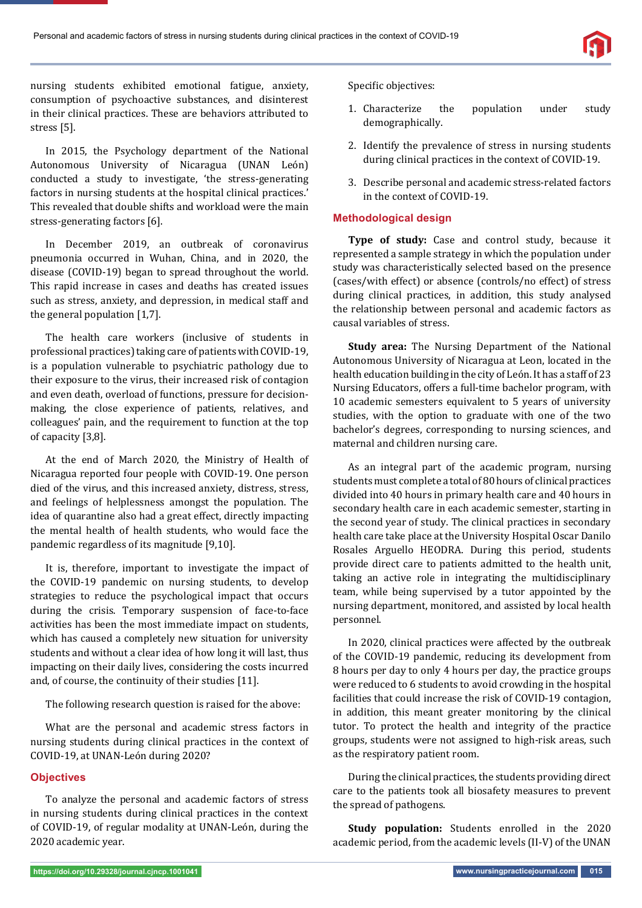

nursing students exhibited emotional fatigue, anxiety, consumption of psychoactive substances, and disinterest in their clinical practices. These are behaviors attributed to stress [5].

In 2015, the Psychology department of the National Autonomous University of Nicaragua (UNAN León) conducted a study to investigate, 'the stress-generating factors in nursing students at the hospital clinical practices.' This revealed that double shifts and workload were the main stress-generating factors [6].

In December 2019, an outbreak of coronavirus pneumonia occurred in Wuhan, China, and in 2020, the disease (COVID-19) began to spread throughout the world. This rapid increase in cases and deaths has created issues such as stress, anxiety, and depression, in medical staff and the general population [1,7].

The health care workers (inclusive of students in professional practices) taking care of patients with COVID-19, is a population vulnerable to psychiatric pathology due to their exposure to the virus, their increased risk of contagion and even death, overload of functions, pressure for decisionmaking, the close experience of patients, relatives, and colleagues' pain, and the requirement to function at the top of capacity [3,8].

At the end of March 2020, the Ministry of Health of Nicaragua reported four people with COVID-19. One person died of the virus, and this increased anxiety, distress, stress, and feelings of helplessness amongst the population. The idea of quarantine also had a great effect, directly impacting the mental health of health students, who would face the pandemic regardless of its magnitude [9,10].

It is, therefore, important to investigate the impact of the COVID-19 pandemic on nursing students, to develop strategies to reduce the psychological impact that occurs during the crisis. Temporary suspension of face-to-face activities has been the most immediate impact on students, which has caused a completely new situation for university students and without a clear idea of how long it will last, thus impacting on their daily lives, considering the costs incurred and, of course, the continuity of their studies [11].

The following research question is raised for the above:

What are the personal and academic stress factors in nursing students during clinical practices in the context of COVID-19, at UNAN-León during 2020?

#### **Objectives**

To analyze the personal and academic factors of stress in nursing students during clinical practices in the context of COVID-19, of regular modality at UNAN-León, during the 2020 academic year.

Specific objectives:

- 1. Characterize the population under study demographically.
- 2. Identify the prevalence of stress in nursing students during clinical practices in the context of COVID-19.
- 3. Describe personal and academic stress-related factors in the context of COVID-19.

#### **Methodological design**

**Type of study:** Case and control study, because it represented a sample strategy in which the population under study was characteristically selected based on the presence (cases/with effect) or absence (controls/no effect) of stress during clinical practices, in addition, this study analysed the relationship between personal and academic factors as causal variables of stress.

**Study area:** The Nursing Department of the National Autonomous University of Nicaragua at Leon, located in the health education building in the city of León. It has a staff of 23 Nursing Educators, offers a full-time bachelor program, with 10 academic semesters equivalent to 5 years of university studies, with the option to graduate with one of the two bachelor's degrees, corresponding to nursing sciences, and maternal and children nursing care.

As an integral part of the academic program, nursing students must complete a total of 80 hours of clinical practices divided into 40 hours in primary health care and 40 hours in secondary health care in each academic semester, starting in the second year of study. The clinical practices in secondary health care take place at the University Hospital Oscar Danilo Rosales Arguello HEODRA. During this period, students provide direct care to patients admitted to the health unit, taking an active role in integrating the multidisciplinary team, while being supervised by a tutor appointed by the nursing department, monitored, and assisted by local health personnel.

In 2020, clinical practices were affected by the outbreak of the COVID-19 pandemic, reducing its development from 8 hours per day to only 4 hours per day, the practice groups were reduced to 6 students to avoid crowding in the hospital facilities that could increase the risk of COVID-19 contagion, in addition, this meant greater monitoring by the clinical tutor. To protect the health and integrity of the practice groups, students were not assigned to high-risk areas, such as the respiratory patient room.

During the clinical practices, the students providing direct care to the patients took all biosafety measures to prevent the spread of pathogens.

**Study population:** Students enrolled in the 2020 academic period, from the academic levels (II-V) of the UNAN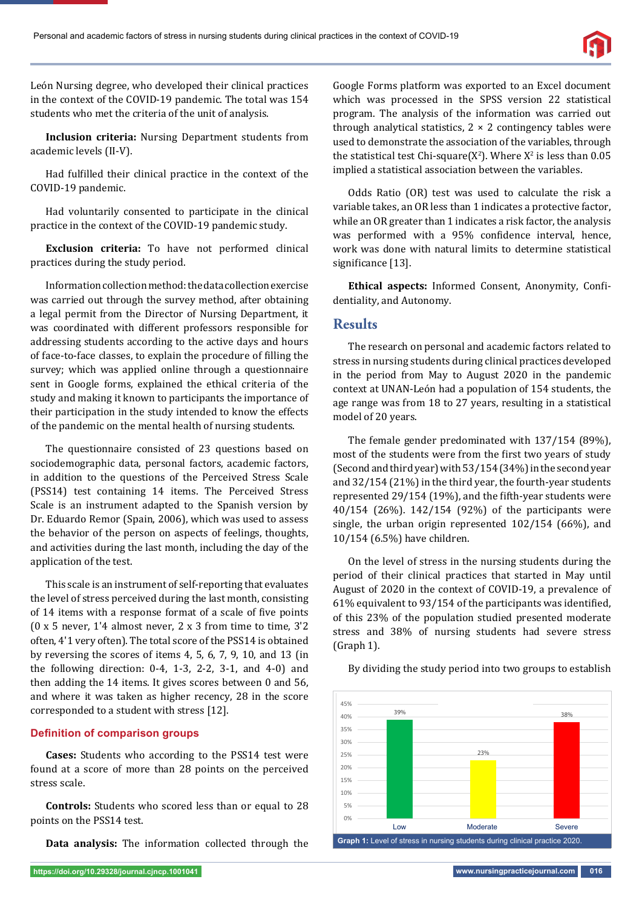León Nursing degree, who developed their clinical practices in the context of the COVID-19 pandemic. The total was 154 students who met the criteria of the unit of analysis.

**Inclusion criteria:** Nursing Department students from academic levels (II-V).

Had fulfilled their clinical practice in the context of the COVID-19 pandemic.

Had voluntarily consented to participate in the clinical practice in the context of the COVID-19 pandemic study.

**Exclusion criteria:** To have not performed clinical practices during the study period.

Information collection method: the data collection exercise was carried out through the survey method, after obtaining a legal permit from the Director of Nursing Department, it was coordinated with different professors responsible for addressing students according to the active days and hours of face-to-face classes, to explain the procedure of filling the survey; which was applied online through a questionnaire sent in Google forms, explained the ethical criteria of the study and making it known to participants the importance of their participation in the study intended to know the effects of the pandemic on the mental health of nursing students.

The questionnaire consisted of 23 questions based on sociodemographic data, personal factors, academic factors, in addition to the questions of the Perceived Stress Scale (PSS14) test containing 14 items. The Perceived Stress Scale is an instrument adapted to the Spanish version by Dr. Eduardo Remor (Spain, 2006), which was used to assess the behavior of the person on aspects of feelings, thoughts, and activities during the last month, including the day of the application of the test.

This scale is an instrument of self-reporting that evaluates the level of stress perceived during the last month, consisting of 14 items with a response format of a scale of five points (0 x 5 never, 1'4 almost never, 2 x 3 from time to time, 3'2 often, 4'1 very often). The total score of the PSS14 is obtained by reversing the scores of items 4, 5, 6, 7, 9, 10, and 13 (in the following direction: 0-4, 1-3, 2-2, 3-1, and 4-0) and then adding the 14 items. It gives scores between 0 and 56, and where it was taken as higher recency, 28 in the score corresponded to a student with stress [12].

#### **Definition of comparison groups**

**Cases:** Students who according to the PSS14 test were found at a score of more than 28 points on the perceived stress scale.

**Controls:** Students who scored less than or equal to 28 points on the PSS14 test.

**Data analysis:** The information collected through the

Google Forms platform was exported to an Excel document which was processed in the SPSS version 22 statistical program. The analysis of the information was carried out through analytical statistics,  $2 \times 2$  contingency tables were used to demonstrate the association of the variables, through the statistical test Chi-square( $X^2$ ). Where  $X^2$  is less than 0.05 implied a statistical association between the variables.

Odds Ratio (OR) test was used to calculate the risk a variable takes, an OR less than 1 indicates a protective factor, while an OR greater than 1 indicates a risk factor, the analysis was performed with a 95% confidence interval, hence, work was done with natural limits to determine statistical significance [13].

Ethical aspects: Informed Consent, Anonymity, Confidentiality, and Autonomy.

#### **Results**

The research on personal and academic factors related to stress in nursing students during clinical practices developed in the period from May to August 2020 in the pandemic context at UNAN-León had a population of 154 students, the age range was from 18 to 27 years, resulting in a statistical model of 20 years.

The female gender predominated with 137/154 (89%), most of the students were from the first two years of study (Second and third year) with 53/154 (34%) in the second year and 32/154 (21%) in the third year, the fourth-year students represented 29/154 (19%), and the fifth-year students were 40/154 (26%). 142/154 (92%) of the participants were single, the urban origin represented 102/154 (66%), and 10/154 (6.5%) have children.

On the level of stress in the nursing students during the period of their clinical practices that started in May until August of 2020 in the context of COVID-19, a prevalence of 61% equivalent to  $93/154$  of the participants was identified, of this 23% of the population studied presented moderate stress and 38% of nursing students had severe stress (Graph 1).



By dividing the study period into two groups to establish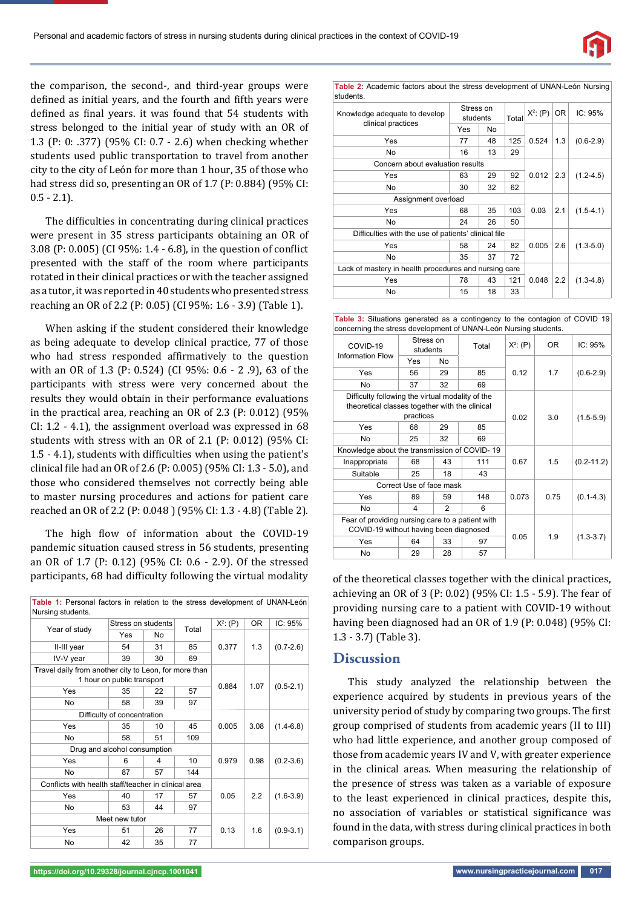

the comparison, the second-, and third-year groups were defined as initial years, and the fourth and fifth years were defined as final years. it was found that 54 students with stress belonged to the initial year of study with an OR of 1.3 (P: 0: .377) (95% CI: 0.7 - 2.6) when checking whether students used public transportation to travel from another city to the city of León for more than 1 hour, 35 of those who had stress did so, presenting an OR of 1.7 (P: 0.884) (95% CI:  $0.5 - 2.1$ ).

The difficulties in concentrating during clinical practices were present in 35 stress participants obtaining an OR of 3.08 (P: 0.005) (CI 95%: 1.4 - 6.8), in the question of conflict presented with the staff of the room where participants rotated in their clinical practices or with the teacher assigned as a tutor, it was reported in 40 students who presented stress reaching an OR of 2.2 (P: 0.05) (CI 95%: 1.6 - 3.9) (Table 1).

When asking if the student considered their knowledge as being adequate to develop clinical practice, 77 of those who had stress responded affirmatively to the question with an OR of 1.3 (P: 0.524) (CI 95%: 0.6 - 2 .9), 63 of the participants with stress were very concerned about the results they would obtain in their performance evaluations in the practical area, reaching an OR of 2.3 (P: 0.012) (95% CI: 1.2 - 4.1), the assignment overload was expressed in 68 students with stress with an OR of 2.1 (P: 0.012) (95% CI: 1.5 - 4.1), students with difficulties when using the patient's clinical ϐile had an OR of 2.6 (P: 0.005) (95% CI: 1.3 - 5.0), and those who considered themselves not correctly being able to master nursing procedures and actions for patient care reached an OR of 2.2 (P: 0.048 ) (95% CI: 1.3 - 4.8) (Table 2).

The high flow of information about the COVID-19 pandemic situation caused stress in 56 students, presenting an OR of 1.7 (P: 0.12) (95% CI: 0.6 - 2.9). Of the stressed participants, 68 had difficulty following the virtual modality of the theoretical classes together with the clinical practices,

| Year of study                                                                       | Stress on students |    | Total | $X^2$ : (P) | 0 <sub>R</sub> | IC: 95%       |
|-------------------------------------------------------------------------------------|--------------------|----|-------|-------------|----------------|---------------|
|                                                                                     | Yes                | No |       |             | 1.3            | $(0.7 - 2.6)$ |
| II-III year                                                                         | 54                 | 31 | 85    | 0.377       |                |               |
| IV-V year                                                                           | 39                 | 30 | 69    |             |                |               |
| Travel daily from another city to Leon, for more than<br>1 hour on public transport |                    |    |       |             |                |               |
| Yes                                                                                 | 35                 | 22 | 57    | 0.884       | 1.07           | $(0.5-2.1)$   |
| <b>No</b>                                                                           | 58                 | 39 | 97    |             |                |               |
| Difficulty of concentration                                                         |                    |    |       |             |                |               |
| Yes                                                                                 | 35                 | 10 | 45    | 0.005       | 3.08           | $(1.4-6.8)$   |
| No.                                                                                 | 58                 | 51 | 109   |             |                |               |
| Drug and alcohol consumption                                                        |                    |    |       |             |                |               |
| Yes                                                                                 | 6                  | 4  | 10    | 0.979       | 0.98           | $(0.2 - 3.6)$ |
| <b>No</b>                                                                           | 87                 | 57 | 144   |             |                |               |
| Conflicts with health staff/teacher in clinical area                                |                    |    |       |             |                |               |
| Yes                                                                                 | 40                 | 17 | 57    | 0.05        | 2.2            | $(1.6 - 3.9)$ |
| No.                                                                                 | 53                 | 44 | 97    |             |                |               |
| Meet new tutor                                                                      |                    |    |       |             |                |               |
| Yes                                                                                 | 51                 | 26 | 77    | 0.13        | 1.6            | $(0.9 - 3.1)$ |
| No                                                                                  | 42                 | 35 | 77    |             |                |               |

**Table 1:** Personal factors in relation to the stress development of UNAN-León

**Table 2:** Academic factors about the stress development of UNAN-León Nursing students.

| Knowledge adequate to develop<br>clinical practices   | Stress on<br>students |    | Total | $X^2$ : (P) | OR. | IC: 95%       |
|-------------------------------------------------------|-----------------------|----|-------|-------------|-----|---------------|
|                                                       | Yes                   | No |       |             | 1.3 | $(0.6-2.9)$   |
| Yes                                                   | 77                    | 48 | 125   | 0.524       |     |               |
| No                                                    | 16                    | 13 | 29    |             |     |               |
| Concern about evaluation results                      |                       |    |       |             |     |               |
| Yes                                                   | 63                    | 29 | 92    | 0.012       | 2.3 | $(1.2 - 4.5)$ |
| No                                                    | 30                    | 32 | 62    |             |     |               |
| Assignment overload                                   |                       |    |       |             |     |               |
| Yes                                                   | 68                    | 35 | 103   | 0.03        | 2.1 | $(1.5 - 4.1)$ |
| No                                                    | 24                    | 26 | 50    |             |     |               |
| Difficulties with the use of patients' clinical file  |                       |    |       |             |     |               |
| Yes                                                   | 58                    | 24 | 82    | 0.005       | 2.6 | $(1.3 - 5.0)$ |
| No                                                    | 35                    | 37 | 72    |             |     |               |
| Lack of mastery in health procedures and nursing care |                       |    |       |             |     |               |
| Yes                                                   | 78                    | 43 | 121   | 0.048       | 2.2 | $(1.3 - 4.8)$ |
| No                                                    | 15                    | 18 | 33    |             |     |               |

**Table 3:** Situations generated as a contingency to the contagion of COVID 19 concerning the stress development of UNAN-León Nursing students.

| COVID-19<br><b>Information Flow</b>                                                                             | Stress on<br>students |                | Total | $X^2$ : (P) | <b>OR</b> | IC: 95%        |
|-----------------------------------------------------------------------------------------------------------------|-----------------------|----------------|-------|-------------|-----------|----------------|
|                                                                                                                 | Yes                   | No             |       |             |           |                |
| Yes                                                                                                             | 56                    | 29             | 85    | 0.12        | 1.7       | $(0.6-2.9)$    |
| No                                                                                                              | 37                    | 32             | 69    |             |           |                |
| Difficulty following the virtual modality of the<br>theoretical classes together with the clinical<br>practices |                       |                |       |             | 3.0       | $(1.5 - 5.9)$  |
| Yes                                                                                                             | 68                    | 29             | 85    |             |           |                |
| No                                                                                                              | 25                    | 32             | 69    |             |           |                |
| Knowledge about the transmission of COVID-19                                                                    |                       |                |       |             |           |                |
| Inappropriate                                                                                                   | 68                    | 43             | 111   | 0.67        | 1.5       | $(0.2 - 11.2)$ |
| Suitable                                                                                                        | 25                    | 18             | 43    |             |           |                |
| Correct Use of face mask                                                                                        |                       |                |       |             |           |                |
| Yes                                                                                                             | 89                    | 59             | 148   | 0.073       | 0.75      | $(0.1 - 4.3)$  |
| No                                                                                                              | $\overline{4}$        | $\mathfrak{p}$ | 6     |             |           |                |
| Fear of providing nursing care to a patient with<br>COVID-19 without having been diagnosed                      |                       |                |       |             |           |                |
| Yes                                                                                                             | 64                    | 33             | 97    | 0.05        | 1.9       | $(1.3 - 3.7)$  |
| No                                                                                                              | 29                    | 28             | 57    |             |           |                |

achieving an OR of 3 (P: 0.02) (95% CI: 1.5 - 5.9). The fear of providing nursing care to a patient with COVID-19 without having been diagnosed had an OR of 1.9 (P: 0.048) (95% CI: 1.3 - 3.7) (Table 3).

## **Discussion**

This study analyzed the relationship between the experience acquired by students in previous years of the university period of study by comparing two groups. The first group comprised of students from academic years (II to III) who had little experience, and another group composed of those from academic years IV and V, with greater experience in the clinical areas. When measuring the relationship of the presence of stress was taken as a variable of exposure to the least experienced in clinical practices, despite this, no association of variables or statistical significance was found in the data, with stress during clinical practices in both comparison groups.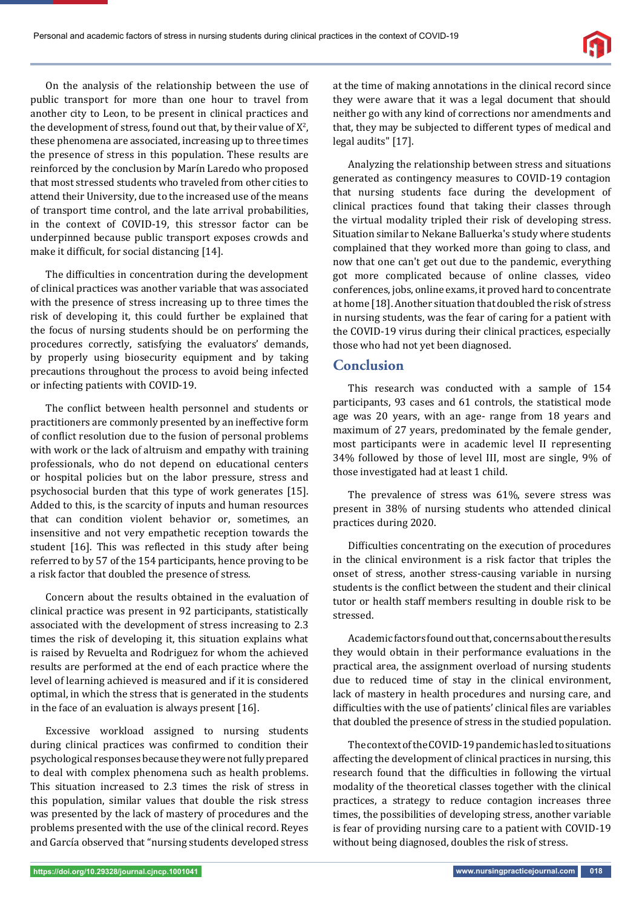On the analysis of the relationship between the use of public transport for more than one hour to travel from another city to Leon, to be present in clinical practices and the development of stress, found out that, by their value of  $X^2$ , these phenomena are associated, increasing up to three times the presence of stress in this population. These results are reinforced by the conclusion by Marín Laredo who proposed that most stressed students who traveled from other cities to attend their University, due to the increased use of the means of transport time control, and the late arrival probabilities, in the context of COVID-19, this stressor factor can be underpinned because public transport exposes crowds and make it difficult, for social distancing  $[14]$ .

The difficulties in concentration during the development of clinical practices was another variable that was associated with the presence of stress increasing up to three times the risk of developing it, this could further be explained that the focus of nursing students should be on performing the procedures correctly, satisfying the evaluators' demands, by properly using biosecurity equipment and by taking precautions throughout the process to avoid being infected or infecting patients with COVID-19.

The conflict between health personnel and students or practitioners are commonly presented by an ineffective form of conflict resolution due to the fusion of personal problems with work or the lack of altruism and empathy with training professionals, who do not depend on educational centers or hospital policies but on the labor pressure, stress and psychosocial burden that this type of work generates [15]. Added to this, is the scarcity of inputs and human resources that can condition violent behavior or, sometimes, an insensitive and not very empathetic reception towards the student [16]. This was reflected in this study after being referred to by 57 of the 154 participants, hence proving to be a risk factor that doubled the presence of stress.

Concern about the results obtained in the evaluation of clinical practice was present in 92 participants, statistically associated with the development of stress increasing to 2.3 times the risk of developing it, this situation explains what is raised by Revuelta and Rodriguez for whom the achieved results are performed at the end of each practice where the level of learning achieved is measured and if it is considered optimal, in which the stress that is generated in the students in the face of an evaluation is always present [16].

Excessive workload assigned to nursing students during clinical practices was confirmed to condition their psychological responses because they were not fully prepared to deal with complex phenomena such as health problems. This situation increased to 2.3 times the risk of stress in this population, similar values that double the risk stress was presented by the lack of mastery of procedures and the problems presented with the use of the clinical record. Reyes and García observed that "nursing students developed stress

at the time of making annotations in the clinical record since they were aware that it was a legal document that should neither go with any kind of corrections nor amendments and that, they may be subjected to different types of medical and legal audits" [17].

Analyzing the relationship between stress and situations generated as contingency measures to COVID-19 contagion that nursing students face during the development of clinical practices found that taking their classes through the virtual modality tripled their risk of developing stress. Situation similar to Nekane Balluerka's study where students complained that they worked more than going to class, and now that one can't get out due to the pandemic, everything got more complicated because of online classes, video conferences, jobs, online exams, it proved hard to concentrate at home [18]. Another situation that doubled the risk of stress in nursing students, was the fear of caring for a patient with the COVID-19 virus during their clinical practices, especially those who had not yet been diagnosed.

#### **Conclusion**

This research was conducted with a sample of 154 participants, 93 cases and 61 controls, the statistical mode age was 20 years, with an age- range from 18 years and maximum of 27 years, predominated by the female gender, most participants were in academic level II representing 34% followed by those of level III, most are single, 9% of those investigated had at least 1 child.

The prevalence of stress was 61%, severe stress was present in 38% of nursing students who attended clinical practices during 2020.

Difficulties concentrating on the execution of procedures in the clinical environment is a risk factor that triples the onset of stress, another stress-causing variable in nursing students is the conflict between the student and their clinical tutor or health staff members resulting in double risk to be stressed.

Academic factors found out that, concerns about the results they would obtain in their performance evaluations in the practical area, the assignment overload of nursing students due to reduced time of stay in the clinical environment, lack of mastery in health procedures and nursing care, and difficulties with the use of patients' clinical files are variables that doubled the presence of stress in the studied population.

The context of the COVID-19 pandemic has led to situations affecting the development of clinical practices in nursing, this research found that the difficulties in following the virtual modality of the theoretical classes together with the clinical practices, a strategy to reduce contagion increases three times, the possibilities of developing stress, another variable is fear of providing nursing care to a patient with COVID-19 without being diagnosed, doubles the risk of stress.